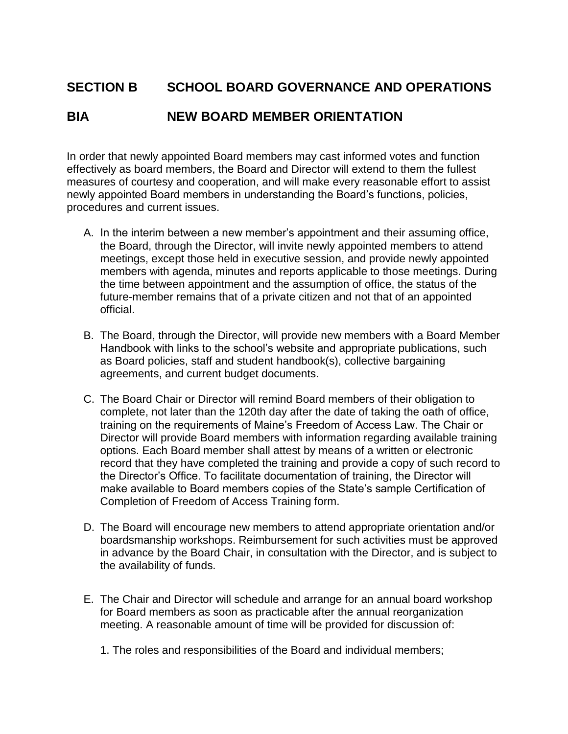## **SECTION B SCHOOL BOARD GOVERNANCE AND OPERATIONS**

## **BIA NEW BOARD MEMBER ORIENTATION**

In order that newly appointed Board members may cast informed votes and function effectively as board members, the Board and Director will extend to them the fullest measures of courtesy and cooperation, and will make every reasonable effort to assist newly appointed Board members in understanding the Board's functions, policies, procedures and current issues.

- A. In the interim between a new member's appointment and their assuming office, the Board, through the Director, will invite newly appointed members to attend meetings, except those held in executive session, and provide newly appointed members with agenda, minutes and reports applicable to those meetings. During the time between appointment and the assumption of office, the status of the future-member remains that of a private citizen and not that of an appointed official.
- B. The Board, through the Director, will provide new members with a Board Member Handbook with links to the school's website and appropriate publications, such as Board policies, staff and student handbook(s), collective bargaining agreements, and current budget documents.
- C. The Board Chair or Director will remind Board members of their obligation to complete, not later than the 120th day after the date of taking the oath of office, training on the requirements of Maine's Freedom of Access Law. The Chair or Director will provide Board members with information regarding available training options. Each Board member shall attest by means of a written or electronic record that they have completed the training and provide a copy of such record to the Director's Office. To facilitate documentation of training, the Director will make available to Board members copies of the State's sample Certification of Completion of Freedom of Access Training form.
- D. The Board will encourage new members to attend appropriate orientation and/or boardsmanship workshops. Reimbursement for such activities must be approved in advance by the Board Chair, in consultation with the Director, and is subject to the availability of funds.
- E. The Chair and Director will schedule and arrange for an annual board workshop for Board members as soon as practicable after the annual reorganization meeting. A reasonable amount of time will be provided for discussion of:
	- 1. The roles and responsibilities of the Board and individual members;